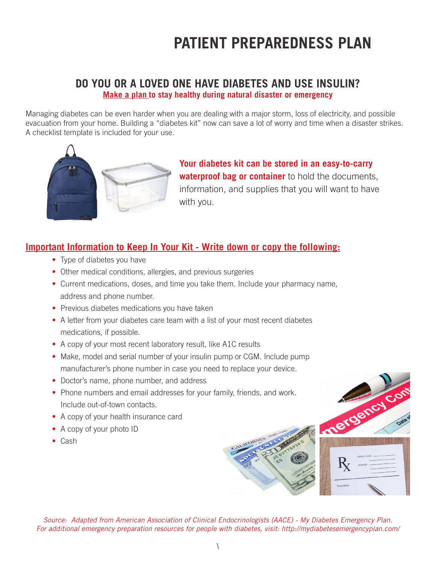# **PATIENT PREPAREDNESS PLAN**

#### **DO YOU OR A LOVED ONE HAVE DIABETES AND USE INSULIN? Make a plan to stay healthy during natural disaster or emergency**

Managing diabetes can be even harder when you are dealing with a major storm, loss of electricity, and possible evacuation from your home. Building a "diabetes kit" now can save a lot of worry and time when a disaster strikes. A checklist template is included for your use.



**Your diabetes kit can be stored in an easy-to-carry waterproof bag or container** to hold the documents, information, and supplies that you will want to have with you.

### **Important Information to Keep In Your Kit - Write down or copy the following:**

- Type of diabetes you have
- Other medical conditions, allergies, and previous surgeries
- Current medications, doses, and time you take them. Include your pharmacy name, address and phone number.
- Previous diabetes medications you have taken
- A letter from your diabetes care team with a list of your most recent diabetes medications, if possible.
- A copy of your most recent laboratory result, like A1C results
- Make, model and serial number of your insulin pump or CGM. Include pump manufacturer's phone number in case you need to replace your device.
- Doctor's name, phone number, and address
- Phone numbers and email addresses for your family, friends, and work. Include out-of-town contacts.
- A copy of your health insurance card
- A copy of your photo ID
- Cash





*Source: Adapted from American Association of Clinical Endocrinologists (AACE) - My Diabetes Emergency Plan. For additional emergency preparation resources for people with diabetes, visit: http://mydiabetesemergencyplan.com/*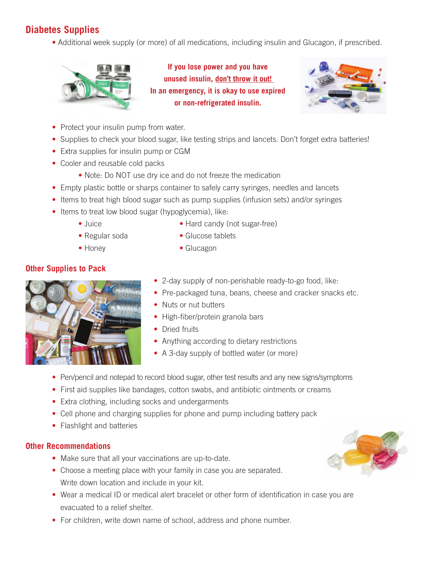## **Diabetes Supplies**

• Additional week supply (or more) of all medications, including insulin and Glucagon, if prescribed.



**If you lose power and you have unused insulin, don't throw it out! In an emergency, it is okay to use expired or non-refrigerated insulin.** 



- Protect your insulin pump from water.
- Supplies to check your blood sugar, like testing strips and lancets. Don't forget extra batteries!
- Extra supplies for insulin pump or CGM
- Cooler and reusable cold packs
	- Note: Do NOT use dry ice and do not freeze the medication
- Empty plastic bottle or sharps container to safely carry syringes, needles and lancets
- Items to treat high blood sugar such as pump supplies (infusion sets) and/or syringes
- Items to treat low blood sugar (hypoglycemia), like:
	-
	- Juice Hard candy (not sugar-free)
	- Regular soda Glucose tablets
	- Honey Glucagon
- **Other Supplies to Pack**
	-
- 
- 2-day supply of non-perishable ready-to-go food, like:
- Pre-packaged tuna, beans, cheese and cracker snacks etc.
- Nuts or nut butters
- High-fiber/protein granola bars
- Dried fruits
- Anything according to dietary restrictions
- A 3-day supply of bottled water (or more)
- Pen/pencil and notepad to record blood sugar, other test results and any new signs/symptoms
- First aid supplies like bandages, cotton swabs, and antibiotic ointments or creams
- Extra clothing, including socks and undergarments
- Cell phone and charging supplies for phone and pump including battery pack
- Flashlight and batteries

#### **Other Recommendations**

- Make sure that all your vaccinations are up-to-date.
- Choose a meeting place with your family in case you are separated. Write down location and include in your kit.
- Wear a medical ID or medical alert bracelet or other form of identification in case you are evacuated to a relief shelter.
- For children, write down name of school, address and phone number.

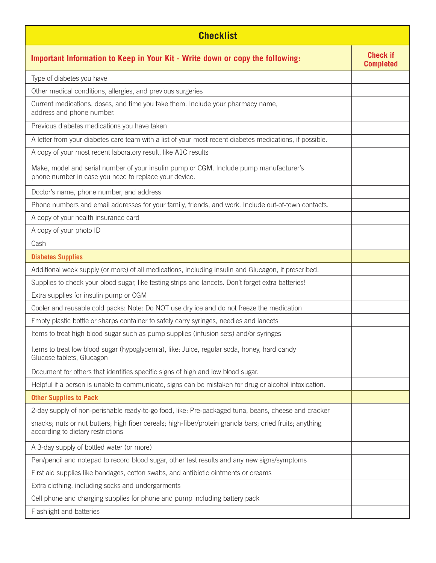| <b>Checklist</b>                                                                                                                                |                                     |  |
|-------------------------------------------------------------------------------------------------------------------------------------------------|-------------------------------------|--|
| Important Information to Keep in Your Kit - Write down or copy the following:                                                                   | <b>Check if</b><br><b>Completed</b> |  |
| Type of diabetes you have                                                                                                                       |                                     |  |
| Other medical conditions, allergies, and previous surgeries                                                                                     |                                     |  |
| Current medications, doses, and time you take them. Include your pharmacy name,<br>address and phone number.                                    |                                     |  |
| Previous diabetes medications you have taken                                                                                                    |                                     |  |
| A letter from your diabetes care team with a list of your most recent diabetes medications, if possible.                                        |                                     |  |
| A copy of your most recent laboratory result, like A1C results                                                                                  |                                     |  |
| Make, model and serial number of your insulin pump or CGM. Include pump manufacturer's<br>phone number in case you need to replace your device. |                                     |  |
| Doctor's name, phone number, and address                                                                                                        |                                     |  |
| Phone numbers and email addresses for your family, friends, and work. Include out-of-town contacts.                                             |                                     |  |
| A copy of your health insurance card                                                                                                            |                                     |  |
| A copy of your photo ID                                                                                                                         |                                     |  |
| Cash                                                                                                                                            |                                     |  |
| <b>Diabetes Supplies</b>                                                                                                                        |                                     |  |
| Additional week supply (or more) of all medications, including insulin and Glucagon, if prescribed.                                             |                                     |  |
| Supplies to check your blood sugar, like testing strips and lancets. Don't forget extra batteries!                                              |                                     |  |
| Extra supplies for insulin pump or CGM                                                                                                          |                                     |  |
| Cooler and reusable cold packs: Note: Do NOT use dry ice and do not freeze the medication                                                       |                                     |  |
| Empty plastic bottle or sharps container to safely carry syringes, needles and lancets                                                          |                                     |  |
| Items to treat high blood sugar such as pump supplies (infusion sets) and/or syringes                                                           |                                     |  |
| Items to treat low blood sugar (hypoglycemia), like: Juice, regular soda, honey, hard candy<br>Glucose tablets, Glucagon                        |                                     |  |
| Document for others that identifies specific signs of high and low blood sugar.                                                                 |                                     |  |
| Helpful if a person is unable to communicate, signs can be mistaken for drug or alcohol intoxication.                                           |                                     |  |
| <b>Other Supplies to Pack</b>                                                                                                                   |                                     |  |
| 2-day supply of non-perishable ready-to-go food, like: Pre-packaged tuna, beans, cheese and cracker                                             |                                     |  |
| snacks; nuts or nut butters; high fiber cereals; high-fiber/protein granola bars; dried fruits; anything<br>according to dietary restrictions   |                                     |  |
| A 3-day supply of bottled water (or more)                                                                                                       |                                     |  |
| Pen/pencil and notepad to record blood sugar, other test results and any new signs/symptoms                                                     |                                     |  |
| First aid supplies like bandages, cotton swabs, and antibiotic ointments or creams                                                              |                                     |  |
| Extra clothing, including socks and undergarments                                                                                               |                                     |  |
| Cell phone and charging supplies for phone and pump including battery pack                                                                      |                                     |  |
| Flashlight and batteries                                                                                                                        |                                     |  |